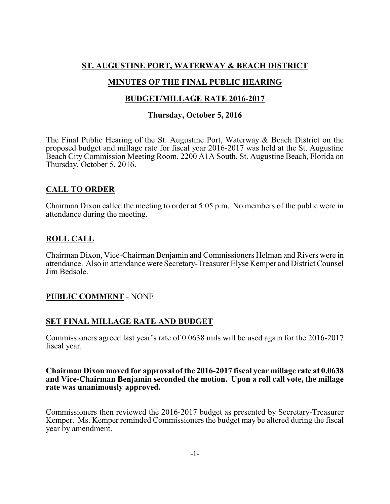## **ST. AUGUSTINE PORT, WATERWAY & BEACH DISTRICT**

# **MINUTES OF THE FINAL PUBLIC HEARING**

## **BUDGET/MILLAGE RATE 2016-2017**

#### **Thursday, October 5, 2016**

The Final Public Hearing of the St. Augustine Port, Waterway & Beach District on the proposed budget and millage rate for fiscal year 2016-2017 was held at the St. Augustine Beach City Commission Meeting Room, 2200 A1A South, St. Augustine Beach, Florida on Thursday, October 5, 2016.

## **CALL TO ORDER**

Chairman Dixon called the meeting to order at 5:05 p.m. No members of the public were in attendance during the meeting.

## **ROLL CALL**

Chairman Dixon, Vice-Chairman Benjamin and Commissioners Helman and Rivers were in attendance. Also in attendance were Secretary-Treasurer Elyse Kemper and District Counsel Jim Bedsole.

## **PUBLIC COMMENT** - NONE

## **SET FINAL MILLAGE RATE AND BUDGET**

Commissioners agreed last year's rate of 0.0638 mils will be used again for the 2016-2017 fiscal year.

#### **Chairman Dixon moved for approval of the 2016-2017 fiscal year millage rate at 0.0638 and Vice-Chairman Benjamin seconded the motion. Upon a roll call vote, the millage rate was unanimously approved.**

Commissioners then reviewed the 2016-2017 budget as presented by Secretary-Treasurer Kemper. Ms. Kemper reminded Commissioners the budget may be altered during the fiscal year by amendment.